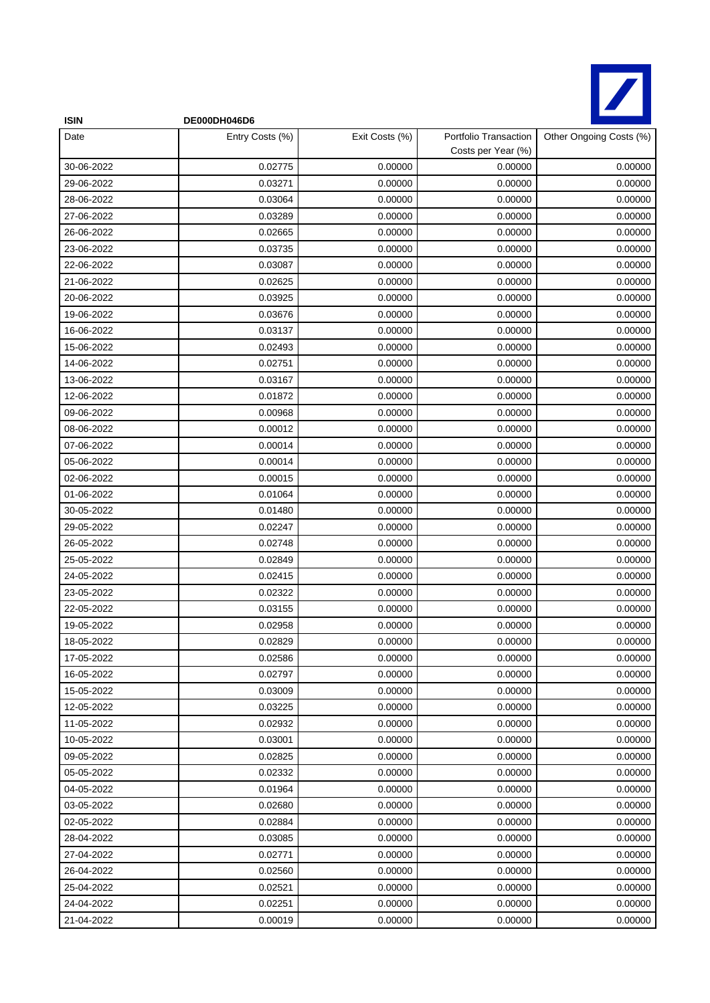

| <b>ISIN</b> | DE000DH046D6    |                |                                             |                         |
|-------------|-----------------|----------------|---------------------------------------------|-------------------------|
| Date        | Entry Costs (%) | Exit Costs (%) | Portfolio Transaction<br>Costs per Year (%) | Other Ongoing Costs (%) |
| 30-06-2022  | 0.02775         | 0.00000        | 0.00000                                     | 0.00000                 |
| 29-06-2022  | 0.03271         | 0.00000        | 0.00000                                     | 0.00000                 |
| 28-06-2022  | 0.03064         | 0.00000        | 0.00000                                     | 0.00000                 |
| 27-06-2022  | 0.03289         | 0.00000        | 0.00000                                     | 0.00000                 |
| 26-06-2022  | 0.02665         | 0.00000        | 0.00000                                     | 0.00000                 |
| 23-06-2022  | 0.03735         | 0.00000        | 0.00000                                     | 0.00000                 |
| 22-06-2022  | 0.03087         | 0.00000        | 0.00000                                     | 0.00000                 |
| 21-06-2022  | 0.02625         | 0.00000        | 0.00000                                     | 0.00000                 |
| 20-06-2022  | 0.03925         | 0.00000        | 0.00000                                     | 0.00000                 |
| 19-06-2022  | 0.03676         | 0.00000        | 0.00000                                     | 0.00000                 |
| 16-06-2022  | 0.03137         | 0.00000        | 0.00000                                     | 0.00000                 |
| 15-06-2022  | 0.02493         | 0.00000        | 0.00000                                     | 0.00000                 |
| 14-06-2022  | 0.02751         | 0.00000        | 0.00000                                     | 0.00000                 |
| 13-06-2022  | 0.03167         | 0.00000        | 0.00000                                     | 0.00000                 |
| 12-06-2022  | 0.01872         | 0.00000        | 0.00000                                     | 0.00000                 |
| 09-06-2022  | 0.00968         | 0.00000        | 0.00000                                     | 0.00000                 |
| 08-06-2022  | 0.00012         | 0.00000        | 0.00000                                     | 0.00000                 |
| 07-06-2022  | 0.00014         | 0.00000        | 0.00000                                     | 0.00000                 |
| 05-06-2022  | 0.00014         | 0.00000        | 0.00000                                     | 0.00000                 |
| 02-06-2022  | 0.00015         | 0.00000        | 0.00000                                     | 0.00000                 |
| 01-06-2022  | 0.01064         | 0.00000        | 0.00000                                     | 0.00000                 |
| 30-05-2022  | 0.01480         | 0.00000        | 0.00000                                     | 0.00000                 |
| 29-05-2022  | 0.02247         | 0.00000        | 0.00000                                     | 0.00000                 |
| 26-05-2022  | 0.02748         | 0.00000        | 0.00000                                     | 0.00000                 |
| 25-05-2022  | 0.02849         | 0.00000        | 0.00000                                     | 0.00000                 |
| 24-05-2022  | 0.02415         | 0.00000        | 0.00000                                     | 0.00000                 |
| 23-05-2022  | 0.02322         | 0.00000        | 0.00000                                     | 0.00000                 |
| 22-05-2022  | 0.03155         | 0.00000        | 0.00000                                     | 0.00000                 |
| 19-05-2022  | 0.02958         | 0.00000        | 0.00000                                     | 0.00000                 |
| 18-05-2022  | 0.02829         | 0.00000        | 0.00000                                     | 0.00000                 |
| 17-05-2022  | 0.02586         | 0.00000        | 0.00000                                     | 0.00000                 |
| 16-05-2022  | 0.02797         | 0.00000        | 0.00000                                     | 0.00000                 |
| 15-05-2022  | 0.03009         | 0.00000        | 0.00000                                     | 0.00000                 |
| 12-05-2022  | 0.03225         | 0.00000        | 0.00000                                     | 0.00000                 |
| 11-05-2022  | 0.02932         | 0.00000        | 0.00000                                     | 0.00000                 |
| 10-05-2022  | 0.03001         | 0.00000        | 0.00000                                     | 0.00000                 |
| 09-05-2022  | 0.02825         | 0.00000        | 0.00000                                     | 0.00000                 |
| 05-05-2022  | 0.02332         | 0.00000        | 0.00000                                     | 0.00000                 |
| 04-05-2022  | 0.01964         | 0.00000        | 0.00000                                     | 0.00000                 |
| 03-05-2022  | 0.02680         | 0.00000        | 0.00000                                     | 0.00000                 |
| 02-05-2022  | 0.02884         | 0.00000        | 0.00000                                     | 0.00000                 |
| 28-04-2022  | 0.03085         | 0.00000        | 0.00000                                     | 0.00000                 |
| 27-04-2022  | 0.02771         | 0.00000        | 0.00000                                     | 0.00000                 |
| 26-04-2022  | 0.02560         | 0.00000        | 0.00000                                     | 0.00000                 |
| 25-04-2022  | 0.02521         | 0.00000        | 0.00000                                     | 0.00000                 |
| 24-04-2022  | 0.02251         | 0.00000        | 0.00000                                     | 0.00000                 |
| 21-04-2022  | 0.00019         | 0.00000        | 0.00000                                     | 0.00000                 |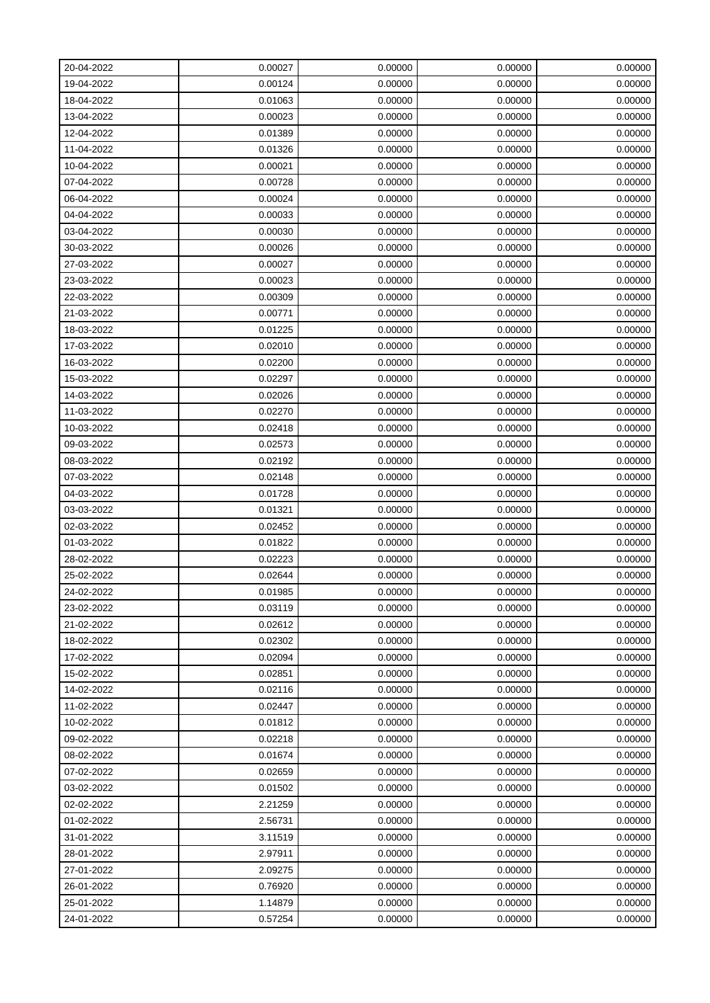| 20-04-2022 | 0.00027 | 0.00000 | 0.00000 | 0.00000 |
|------------|---------|---------|---------|---------|
| 19-04-2022 | 0.00124 | 0.00000 | 0.00000 | 0.00000 |
| 18-04-2022 | 0.01063 | 0.00000 | 0.00000 | 0.00000 |
| 13-04-2022 | 0.00023 | 0.00000 | 0.00000 | 0.00000 |
| 12-04-2022 | 0.01389 | 0.00000 | 0.00000 | 0.00000 |
| 11-04-2022 | 0.01326 | 0.00000 | 0.00000 | 0.00000 |
| 10-04-2022 | 0.00021 | 0.00000 | 0.00000 | 0.00000 |
| 07-04-2022 | 0.00728 | 0.00000 | 0.00000 | 0.00000 |
| 06-04-2022 | 0.00024 | 0.00000 | 0.00000 | 0.00000 |
| 04-04-2022 | 0.00033 | 0.00000 | 0.00000 | 0.00000 |
| 03-04-2022 | 0.00030 | 0.00000 | 0.00000 | 0.00000 |
| 30-03-2022 | 0.00026 | 0.00000 | 0.00000 | 0.00000 |
| 27-03-2022 | 0.00027 | 0.00000 | 0.00000 | 0.00000 |
| 23-03-2022 | 0.00023 | 0.00000 | 0.00000 | 0.00000 |
| 22-03-2022 | 0.00309 | 0.00000 | 0.00000 | 0.00000 |
| 21-03-2022 | 0.00771 | 0.00000 | 0.00000 | 0.00000 |
| 18-03-2022 | 0.01225 | 0.00000 | 0.00000 | 0.00000 |
| 17-03-2022 | 0.02010 | 0.00000 | 0.00000 | 0.00000 |
| 16-03-2022 | 0.02200 | 0.00000 | 0.00000 | 0.00000 |
| 15-03-2022 | 0.02297 | 0.00000 | 0.00000 | 0.00000 |
| 14-03-2022 | 0.02026 | 0.00000 | 0.00000 | 0.00000 |
| 11-03-2022 | 0.02270 | 0.00000 | 0.00000 | 0.00000 |
| 10-03-2022 | 0.02418 | 0.00000 | 0.00000 | 0.00000 |
| 09-03-2022 | 0.02573 | 0.00000 | 0.00000 | 0.00000 |
| 08-03-2022 | 0.02192 | 0.00000 | 0.00000 | 0.00000 |
| 07-03-2022 | 0.02148 | 0.00000 | 0.00000 | 0.00000 |
| 04-03-2022 | 0.01728 | 0.00000 | 0.00000 | 0.00000 |
| 03-03-2022 | 0.01321 | 0.00000 | 0.00000 | 0.00000 |
| 02-03-2022 | 0.02452 | 0.00000 | 0.00000 | 0.00000 |
| 01-03-2022 | 0.01822 | 0.00000 | 0.00000 | 0.00000 |
| 28-02-2022 | 0.02223 | 0.00000 | 0.00000 | 0.00000 |
| 25-02-2022 | 0.02644 | 0.00000 | 0.00000 | 0.00000 |
| 24-02-2022 | 0.01985 | 0.00000 | 0.00000 | 0.00000 |
| 23-02-2022 | 0.03119 | 0.00000 | 0.00000 | 0.00000 |
| 21-02-2022 | 0.02612 | 0.00000 | 0.00000 | 0.00000 |
| 18-02-2022 | 0.02302 | 0.00000 | 0.00000 | 0.00000 |
| 17-02-2022 | 0.02094 | 0.00000 | 0.00000 | 0.00000 |
| 15-02-2022 | 0.02851 | 0.00000 | 0.00000 | 0.00000 |
| 14-02-2022 | 0.02116 | 0.00000 | 0.00000 | 0.00000 |
| 11-02-2022 | 0.02447 | 0.00000 | 0.00000 | 0.00000 |
| 10-02-2022 | 0.01812 | 0.00000 | 0.00000 | 0.00000 |
| 09-02-2022 | 0.02218 | 0.00000 | 0.00000 | 0.00000 |
| 08-02-2022 | 0.01674 | 0.00000 | 0.00000 | 0.00000 |
| 07-02-2022 | 0.02659 | 0.00000 | 0.00000 | 0.00000 |
| 03-02-2022 | 0.01502 | 0.00000 | 0.00000 | 0.00000 |
| 02-02-2022 | 2.21259 | 0.00000 | 0.00000 | 0.00000 |
| 01-02-2022 | 2.56731 | 0.00000 | 0.00000 | 0.00000 |
| 31-01-2022 | 3.11519 | 0.00000 | 0.00000 | 0.00000 |
| 28-01-2022 | 2.97911 | 0.00000 | 0.00000 | 0.00000 |
| 27-01-2022 | 2.09275 | 0.00000 | 0.00000 | 0.00000 |
| 26-01-2022 | 0.76920 | 0.00000 | 0.00000 | 0.00000 |
| 25-01-2022 | 1.14879 | 0.00000 | 0.00000 | 0.00000 |
| 24-01-2022 | 0.57254 | 0.00000 | 0.00000 | 0.00000 |